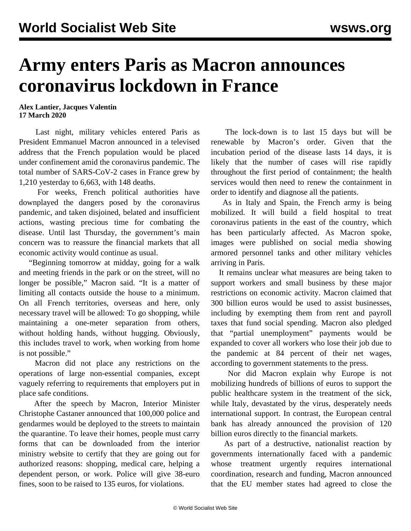## **Army enters Paris as Macron announces coronavirus lockdown in France**

**Alex Lantier, Jacques Valentin 17 March 2020**

 Last night, military vehicles entered Paris as President Emmanuel Macron announced in a televised address that the French population would be placed under confinement amid the coronavirus pandemic. The total number of SARS-CoV-2 cases in France grew by 1,210 yesterday to 6,663, with 148 deaths.

 For weeks, French political authorities have downplayed the dangers posed by the coronavirus pandemic, and taken disjoined, belated and insufficient actions, wasting precious time for combating the disease. Until last Thursday, the government's main concern was to reassure the financial markets that all economic activity would continue as usual.

 "Beginning tomorrow at midday, going for a walk and meeting friends in the park or on the street, will no longer be possible," Macron said. "It is a matter of limiting all contacts outside the house to a minimum. On all French territories, overseas and here, only necessary travel will be allowed: To go shopping, while maintaining a one-meter separation from others, without holding hands, without hugging. Obviously, this includes travel to work, when working from home is not possible."

 Macron did not place any restrictions on the operations of large non-essential companies, except vaguely referring to requirements that employers put in place safe conditions.

 After the speech by Macron, Interior Minister Christophe Castaner announced that 100,000 police and gendarmes would be deployed to the streets to maintain the quarantine. To leave their homes, people must carry forms that can be downloaded from the interior ministry website to certify that they are going out for authorized reasons: shopping, medical care, helping a dependent person, or work. Police will give 38-euro fines, soon to be raised to 135 euros, for violations.

 The lock-down is to last 15 days but will be renewable by Macron's order. Given that the incubation period of the disease lasts 14 days, it is likely that the number of cases will rise rapidly throughout the first period of containment; the health services would then need to renew the containment in order to identify and diagnose all the patients.

 As in Italy and Spain, the French army is being mobilized. It will build a field hospital to treat coronavirus patients in the east of the country, which has been particularly affected. As Macron spoke, images were published on social media showing armored personnel tanks and other military vehicles arriving in Paris.

 It remains unclear what measures are being taken to support workers and small business by these major restrictions on economic activity. Macron claimed that 300 billion euros would be used to assist businesses, including by exempting them from rent and payroll taxes that fund social spending. Macron also pledged that "partial unemployment" payments would be expanded to cover all workers who lose their job due to the pandemic at 84 percent of their net wages, according to government statements to the press.

 Nor did Macron explain why Europe is not mobilizing hundreds of billions of euros to support the public healthcare system in the treatment of the sick, while Italy, devastated by the virus, desperately needs international support. In contrast, the European central bank has already announced the provision of 120 billion euros directly to the financial markets.

 As part of a destructive, nationalist reaction by governments internationally faced with a pandemic whose treatment urgently requires international coordination, research and funding, Macron announced that the EU member states had agreed to close the